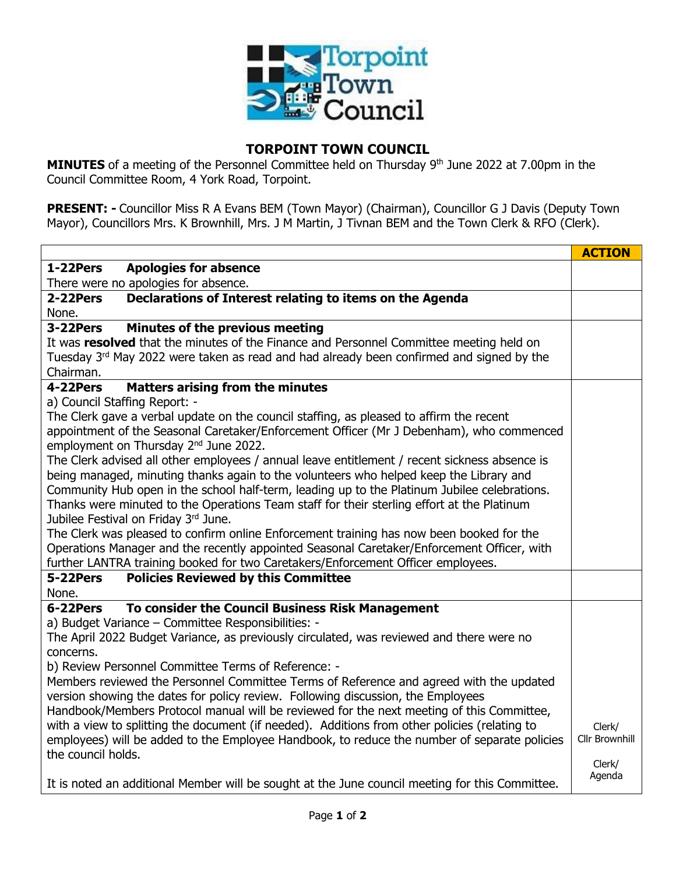

## **TORPOINT TOWN COUNCIL**

**MINUTES** of a meeting of the Personnel Committee held on Thursday 9<sup>th</sup> June 2022 at 7.00pm in the Council Committee Room, 4 York Road, Torpoint.

**PRESENT: -** Councillor Miss R A Evans BEM (Town Mayor) (Chairman), Councillor G J Davis (Deputy Town Mayor), Councillors Mrs. K Brownhill, Mrs. J M Martin, J Tivnan BEM and the Town Clerk & RFO (Clerk).

|                                                                                                 | <b>ACTION</b>            |
|-------------------------------------------------------------------------------------------------|--------------------------|
| 1-22Pers<br><b>Apologies for absence</b>                                                        |                          |
| There were no apologies for absence.                                                            |                          |
| Declarations of Interest relating to items on the Agenda<br>2-22Pers                            |                          |
| None.                                                                                           |                          |
| 3-22Pers<br>Minutes of the previous meeting                                                     |                          |
| It was resolved that the minutes of the Finance and Personnel Committee meeting held on         |                          |
| Tuesday 3rd May 2022 were taken as read and had already been confirmed and signed by the        |                          |
| Chairman.                                                                                       |                          |
| <b>Matters arising from the minutes</b><br>4-22Pers                                             |                          |
| a) Council Staffing Report: -                                                                   |                          |
| The Clerk gave a verbal update on the council staffing, as pleased to affirm the recent         |                          |
| appointment of the Seasonal Caretaker/Enforcement Officer (Mr J Debenham), who commenced        |                          |
| employment on Thursday 2 <sup>nd</sup> June 2022.                                               |                          |
| The Clerk advised all other employees / annual leave entitlement / recent sickness absence is   |                          |
| being managed, minuting thanks again to the volunteers who helped keep the Library and          |                          |
| Community Hub open in the school half-term, leading up to the Platinum Jubilee celebrations.    |                          |
| Thanks were minuted to the Operations Team staff for their sterling effort at the Platinum      |                          |
| Jubilee Festival on Friday 3rd June.                                                            |                          |
| The Clerk was pleased to confirm online Enforcement training has now been booked for the        |                          |
| Operations Manager and the recently appointed Seasonal Caretaker/Enforcement Officer, with      |                          |
| further LANTRA training booked for two Caretakers/Enforcement Officer employees.                |                          |
| <b>Policies Reviewed by this Committee</b><br>5-22Pers                                          |                          |
| None.                                                                                           |                          |
| To consider the Council Business Risk Management<br>6-22Pers                                    |                          |
| a) Budget Variance - Committee Responsibilities: -                                              |                          |
| The April 2022 Budget Variance, as previously circulated, was reviewed and there were no        |                          |
| concerns.                                                                                       |                          |
| b) Review Personnel Committee Terms of Reference: -                                             |                          |
| Members reviewed the Personnel Committee Terms of Reference and agreed with the updated         |                          |
| version showing the dates for policy review. Following discussion, the Employees                |                          |
| Handbook/Members Protocol manual will be reviewed for the next meeting of this Committee,       |                          |
| with a view to splitting the document (if needed). Additions from other policies (relating to   | Clerk/<br>Cllr Brownhill |
| employees) will be added to the Employee Handbook, to reduce the number of separate policies    |                          |
| the council holds.                                                                              | Clerk/                   |
|                                                                                                 | Agenda                   |
| It is noted an additional Member will be sought at the June council meeting for this Committee. |                          |